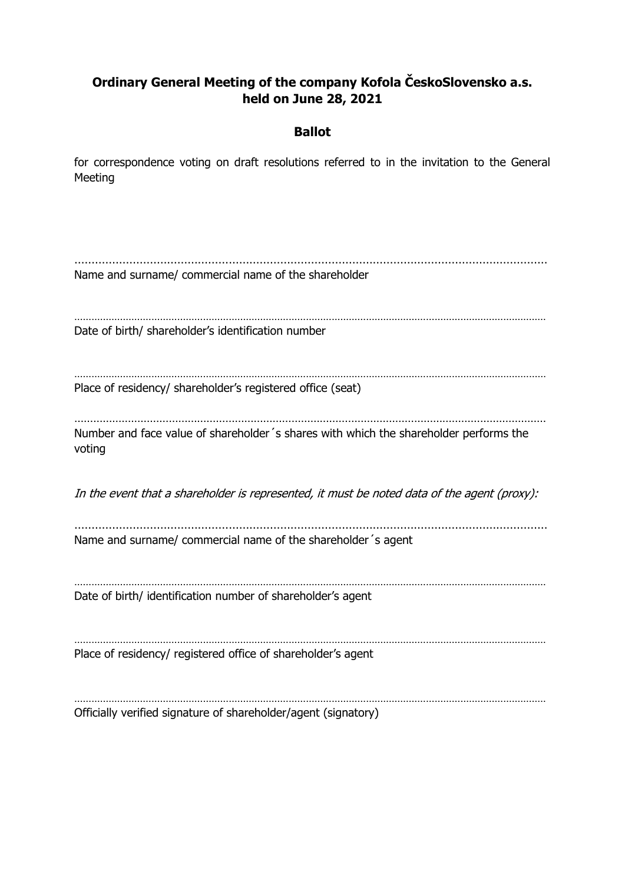# **Ordinary General Meeting of the company Kofola ČeskoSlovensko a.s. held on June 28, 2021**

### **Ballot**

for correspondence voting on draft resolutions referred to in the invitation to the General Meeting

………………………………………………………………………………………………………………………… Name and surname/ commercial name of the shareholder ………………………………………………………………………………………………………………………………………………… Date of birth/ shareholder's identification number ………………………………………………………………………………………………………………………………………………… Place of residency/ shareholder's registered office (seat) …………………………………………………………………………………………………………………………………… Number and face value of shareholder´s shares with which the shareholder performs the voting In the event that a shareholder is represented, it must be noted data of the agent (proxy): ………………………………………………………………………………………………………………………… Name and surname/ commercial name of the shareholder´s agent ………………………………………………………………………………………………………………………………………………… Date of birth/ identification number of shareholder's agent . The contract of the contract of the contract of the contract of the contract of the contract of the contract of the contract of the contract of the contract of the contract of the contract of the contract of the contrac Place of residency/ registered office of shareholder's agent ………………………………………………………………………………………………………………………………………………… Officially verified signature of shareholder/agent (signatory)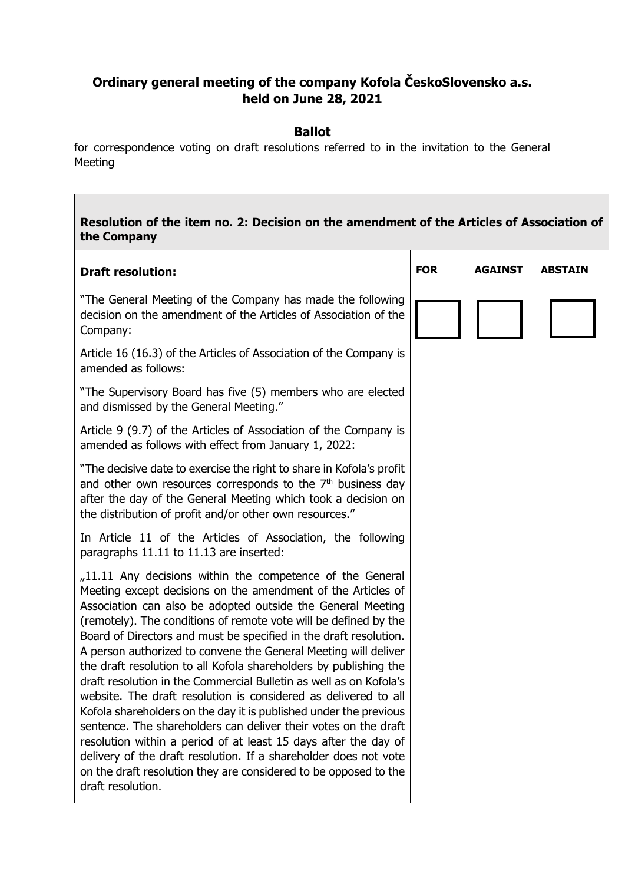## **Ordinary general meeting of the company Kofola ČeskoSlovensko a.s. held on June 28, 2021**

### **Ballot**

for correspondence voting on draft resolutions referred to in the invitation to the General Meeting

# **Resolution of the item no. 2: Decision on the amendment of the Articles of Association of the Company Draft resolution:** "The General Meeting of the Company has made the following decision on the amendment of the Articles of Association of the Company: Article 16 (16.3) of the Articles of Association of the Company is amended as follows: "The Supervisory Board has five (5) members who are elected and dismissed by the General Meeting." Article 9 (9.7) of the Articles of Association of the Company is amended as follows with effect from January 1, 2022: "The decisive date to exercise the right to share in Kofola's profit and other own resources corresponds to the  $7<sup>th</sup>$  business day after the day of the General Meeting which took a decision on the distribution of profit and/or other own resources." In Article 11 of the Articles of Association, the following paragraphs 11.11 to 11.13 are inserted:  $11.11$  Any decisions within the competence of the General Meeting except decisions on the amendment of the Articles of Association can also be adopted outside the General Meeting (remotely). The conditions of remote vote will be defined by the Board of Directors and must be specified in the draft resolution. A person authorized to convene the General Meeting will deliver the draft resolution to all Kofola shareholders by publishing the draft resolution in the Commercial Bulletin as well as on Kofola's website. The draft resolution is considered as delivered to all Kofola shareholders on the day it is published under the previous sentence. The shareholders can deliver their votes on the draft resolution within a period of at least 15 days after the day of delivery of the draft resolution. If a shareholder does not vote on the draft resolution they are considered to be opposed to the draft resolution. **FOR AGAINST ABSTAIN**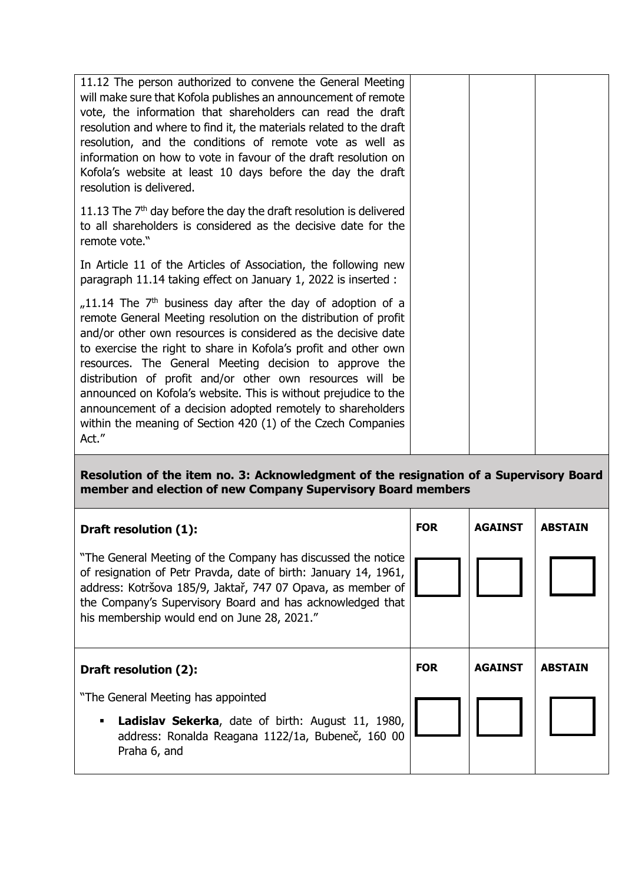| 11.12 The person authorized to convene the General Meeting<br>will make sure that Kofola publishes an announcement of remote<br>vote, the information that shareholders can read the draft<br>resolution and where to find it, the materials related to the draft<br>resolution, and the conditions of remote vote as well as<br>information on how to vote in favour of the draft resolution on<br>Kofola's website at least 10 days before the day the draft<br>resolution is delivered.                                                                                                                       |  |  |
|------------------------------------------------------------------------------------------------------------------------------------------------------------------------------------------------------------------------------------------------------------------------------------------------------------------------------------------------------------------------------------------------------------------------------------------------------------------------------------------------------------------------------------------------------------------------------------------------------------------|--|--|
| 11.13 The $7th$ day before the day the draft resolution is delivered<br>to all shareholders is considered as the decisive date for the<br>remote vote."                                                                                                                                                                                                                                                                                                                                                                                                                                                          |  |  |
| In Article 11 of the Articles of Association, the following new<br>paragraph 11.14 taking effect on January 1, 2022 is inserted :                                                                                                                                                                                                                                                                                                                                                                                                                                                                                |  |  |
| $11.14$ The 7 <sup>th</sup> business day after the day of adoption of a<br>remote General Meeting resolution on the distribution of profit<br>and/or other own resources is considered as the decisive date<br>to exercise the right to share in Kofola's profit and other own<br>resources. The General Meeting decision to approve the<br>distribution of profit and/or other own resources will be<br>announced on Kofola's website. This is without prejudice to the<br>announcement of a decision adopted remotely to shareholders<br>within the meaning of Section 420 (1) of the Czech Companies<br>Act." |  |  |

### **Resolution of the item no. 3: Acknowledgment of the resignation of a Supervisory Board member and election of new Company Supervisory Board members**

| Draft resolution (1):                                                                                                                                                                                                                                                                                       | <b>FOR</b> | <b>AGAINST</b> | <b>ABSTAIN</b> |
|-------------------------------------------------------------------------------------------------------------------------------------------------------------------------------------------------------------------------------------------------------------------------------------------------------------|------------|----------------|----------------|
| "The General Meeting of the Company has discussed the notice"<br>of resignation of Petr Pravda, date of birth: January 14, 1961,<br>address: Kotršova 185/9, Jaktař, 747 07 Opava, as member of<br>the Company's Supervisory Board and has acknowledged that<br>his membership would end on June 28, 2021." |            |                |                |
|                                                                                                                                                                                                                                                                                                             |            |                |                |
| Draft resolution (2):                                                                                                                                                                                                                                                                                       | <b>FOR</b> | <b>AGAINST</b> | <b>ABSTAIN</b> |
| "The General Meeting has appointed                                                                                                                                                                                                                                                                          |            |                |                |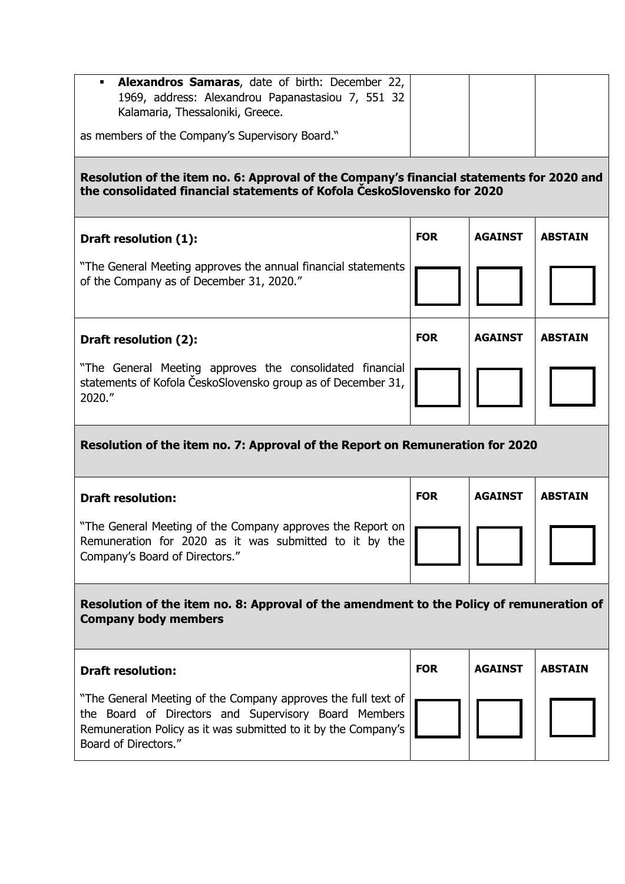| Alexandros Samaras, date of birth: December 22,<br>1969, address: Alexandrou Papanastasiou 7, 551 32<br>Kalamaria, Thessaloniki, Greece. |  |  |  |  |
|------------------------------------------------------------------------------------------------------------------------------------------|--|--|--|--|
| as members of the Company's Supervisory Board."                                                                                          |  |  |  |  |
| Resolution of the item no. 6: Approval of the Company's financial statements for 2020 and                                                |  |  |  |  |

**the consolidated financial statements of Kofola ČeskoSlovensko for 2020**

| Draft resolution (1):                                                                                     | <b>FOR</b> | <b>AGAINST</b> | <b>ABSTAIN</b> |
|-----------------------------------------------------------------------------------------------------------|------------|----------------|----------------|
| "The General Meeting approves the annual financial statements<br>of the Company as of December 31, 2020." |            |                |                |
| Draft resolution (2):                                                                                     | <b>FOR</b> | <b>AGAINST</b> | <b>ABSTAIN</b> |
| "The General Meeting approves the consolidated financial                                                  |            |                |                |

# **Resolution of the item no. 7: Approval of the Report on Remuneration for 2020**

| <b>Draft resolution:</b>                                                                                                                               | <b>FOR</b> | <b>AGAINST</b> | <b>ABSTAIN</b> |
|--------------------------------------------------------------------------------------------------------------------------------------------------------|------------|----------------|----------------|
| "The General Meeting of the Company approves the Report on<br>Remuneration for 2020 as it was submitted to it by the<br>Company's Board of Directors." |            |                |                |

## **Resolution of the item no. 8: Approval of the amendment to the Policy of remuneration of Company body members**

| <b>Draft resolution:</b>                                                                                                                                                                                        | <b>FOR</b> | <b>AGAINST</b> | <b>ABSTAIN</b> |
|-----------------------------------------------------------------------------------------------------------------------------------------------------------------------------------------------------------------|------------|----------------|----------------|
| "The General Meeting of the Company approves the full text of<br>the Board of Directors and Supervisory Board Members<br>Remuneration Policy as it was submitted to it by the Company's<br>Board of Directors." |            |                |                |